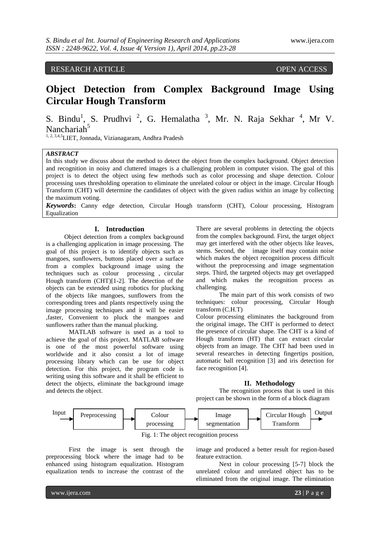# RESEARCH ARTICLE OPEN ACCESS

# **Object Detection from Complex Background Image Using Circular Hough Transform**

S. Bindu<sup>1</sup>, S. Prudhvi<sup>2</sup>, G. Hemalatha<sup>3</sup>, Mr. N. Raja Sekhar<sup>4</sup>, Mr V. Nanchariah<sup>5</sup>

<sup>1, 2, 3,4,5</sup>LIET, Jonnada, Vizianagaram, Andhra Pradesh

## *ABSTRACT*

In this study we discuss about the method to detect the object from the complex background. Object detection and recognition in noisy and cluttered images is a challenging problem in computer vision. The goal of this project is to detect the object using few methods such as color processing and shape detection. Colour processing uses thresholding operation to eliminate the unrelated colour or object in the image. Circular Hough Transform (CHT) will determine the candidates of object with the given radius within an image by collecting the maximum voting.

*Keywords***:** Canny edge detection, Circular Hough transform (CHT), Colour processing, Histogram Equalization

#### **I. Introduction**

Object detection from a complex background is a challenging application in image processing. The goal of this project is to identify objects such as mangoes, sunflowers, buttons placed over a surface from a complex background image using the techniques such as colour processing , circular Hough transform (CHT)[1-2]. The detection of the objects can be extended using robotics for plucking of the objects like mangoes, sunflowers from the corresponding trees and plants respectively using the image processing techniques and it will be easier ,faster, Convenient to pluck the mangoes and sunflowers rather than the manual plucking.

MATLAB software is used as a tool to achieve the goal of this project. MATLAB software is one of the most powerful software using worldwide and it also consist a lot of image processing library which can be use for object detection. For this project, the program code is writing using this software and it shall be efficient to detect the objects, eliminate the background image and detects the object.

There are several problems in detecting the objects from the complex background. First, the target object may get interfered with the other objects like leaves, stems. Second, the image itself may contain noise which makes the object recognition process difficult without the preprocessing and image segmentation steps. Third, the targeted objects may get overlapped and which makes the recognition process as challenging.

The main part of this work consists of two techniques: colour processing, Circular Hough transform (C.H.T)

Colour processing eliminates the background from the original image**.** The CHT is performed to detect the presence of circular shape. The CHT is a kind of Hough transform (HT) that can extract circular objects from an image. The CHT had been used in several researches in detecting fingertips position, automatic ball recognition [3] and iris detection for face recognition [4].

## **II. Methodology**

The recognition process that is used in this project can be shown in the form of a block diagram



Fig. 1: The object recognition process

First the image is sent through the preprocessing block where the image had to be enhanced using histogram equalization. Histogram equalization tends to increase the contrast of the

image and produced a better result for region-based feature extraction.

Next in colour processing [5-7] block the unrelated colour and unrelated object has to be eliminated from the original image. The elimination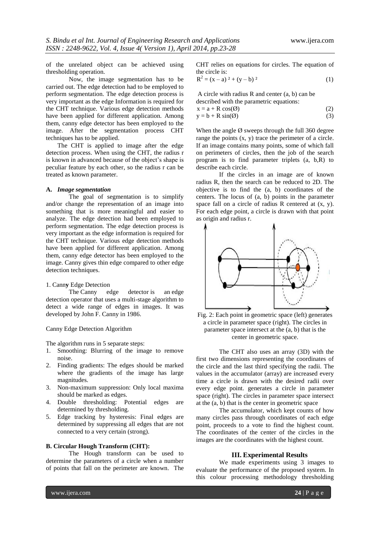of the unrelated object can be achieved using thresholding operation.

Now, the image segmentation has to be carried out. The edge detection had to be employed to perform segmentation. The edge detection process is very important as the edge Information is required for the CHT technique. Various edge detection methods have been applied for different application. Among them, canny edge detector has been employed to the image. After the segmentation process CHT techniques has to be applied.

The CHT is applied to image after the edge detection process. When using the CHT, the radius r is known in advanced because of the object's shape is peculiar feature by each other, so the radius r can be treated as known parameter.

## **A.** *Image segmentation*

The goal of segmentation is to simplify and/or change the representation of an image into something that is more meaningful and easier to analyze. The edge detection had been employed to perform segmentation. The edge detection process is very important as the edge information is required for the CHT technique. Various edge detection methods have been applied for different application. Among them, canny edge detector has been employed to the image. Canny gives thin edge compared to other edge detection techniques.

#### 1. Cann**y** Edge Detection

The Canny edge detector is an edge detection operator that uses a multi-stage algorithm to detect a wide range of edges in images. It was developed by John F. Canny in 1986.

#### Canny Edge Detection Algorithm

The algorithm runs in 5 separate steps:

- 1. Smoothing: Blurring of the image to remove noise.
- 2. Finding gradients: The edges should be marked where the gradients of the image has large magnitudes.
- 3. Non-maximum suppression: Only local maxima should be marked as edges.
- 4. Double thresholding: Potential edges are determined by thresholding.
- 5. Edge tracking by hysteresis: Final edges are determined by suppressing all edges that are not connected to a very certain (strong).

## **B. Circular Hough Transform (CHT):**

The Hough transform can be used to determine the parameters of a circle when a number of points that fall on the perimeter are known. The CHT relies on equations for circles. The equation of the circle is:

$$
R^{2} = (x - a)^{2} + (y - b)^{2}
$$
 (1)

A circle with radius R and center (a, b) can be described with the parametric equations:  $x = a + R \cos(\emptyset)$  (2)  $y = b + R \sin(\emptyset)$  (3)

When the angle  $\emptyset$  sweeps through the full 360 degree range the points  $(x, y)$  trace the perimeter of a circle. If an image contains many points, some of which fall on perimeters of circles, then the job of the search program is to find parameter triplets (a, b,R) to describe each circle.

If the circles in an image are of known radius R, then the search can be reduced to 2D. The objective is to find the (a, b) coordinates of the centers. The locus of (a, b) points in the parameter space fall on a circle of radius R centered at (x, y). For each edge point, a circle is drawn with that point as origin and radius r.



Fig. 2: Each point in geometric space (left) generates a circle in parameter space (right). The circles in parameter space intersect at the (a, b) that is the center in geometric space.

The CHT also uses an array (3D) with the first two dimensions representing the coordinates of the circle and the last third specifying the radii. The values in the accumulator (array) are increased every time a circle is drawn with the desired radii over every edge point. generates a circle in parameter space (right). The circles in parameter space intersect at the (a, b) that is the center in geometric space

The accumulator, which kept counts of how many circles pass through coordinates of each edge point, proceeds to a vote to find the highest count. The coordinates of the center of the circles in the images are the coordinates with the highest count.

## **III. Experimental Results**

We made experiments using 3 images to evaluate the performance of the proposed system. In this colour processing methodology thresholding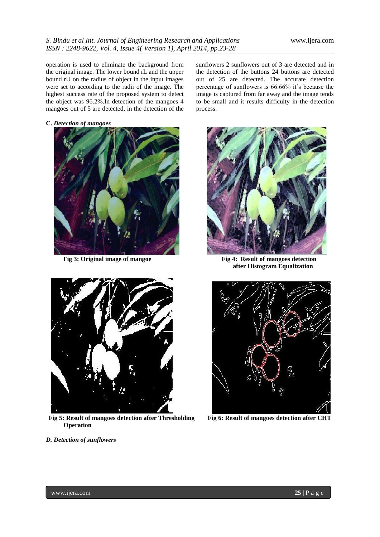operation is used to eliminate the background from the original image. The lower bound rL and the upper bound rU on the radius of object in the input images were set to according to the radii of the image. The highest success rate of the proposed system to detect the object was 96.2%.In detection of the mangoes 4 mangoes out of 5 are detected, in the detection of the

**C.** *Detection of mangoes*





**Fig 5: Result of mangoes detection after Thresholding Fig 6: Result of mangoes detection after CHT Operation** 

*D. Detection of sunflowers*

sunflowers 2 sunflowers out of 3 are detected and in the detection of the buttons 24 buttons are detected out of 25 are detected. The accurate detection percentage of sunflowers is 66.66% it's because the image is captured from far away and the image tends to be small and it results difficulty in the detection process.



**Fig 3:** Original image of mangoe Fig 4: Result of mangoes detection  **after Histogram Equalization**

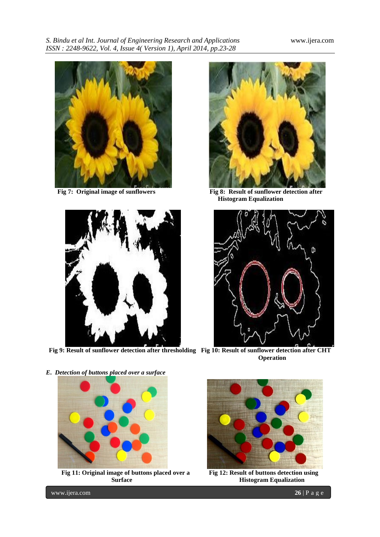





**Fig 7: Original image of sunflowers Fig 8: Result of sunflower detection after Histogram Equalization**



**Fig 9: Result of sunflower detection after thresholding Fig 10: Result of sunflower detection after CHT Operation**

*E***.** *Detection of buttons placed over a surface*



**Fig 11: Original image of buttons placed over a Fig 12: Result of buttons detection using**



**Surface Histogram Equalization** 

www.ijera.com **26** | P a g e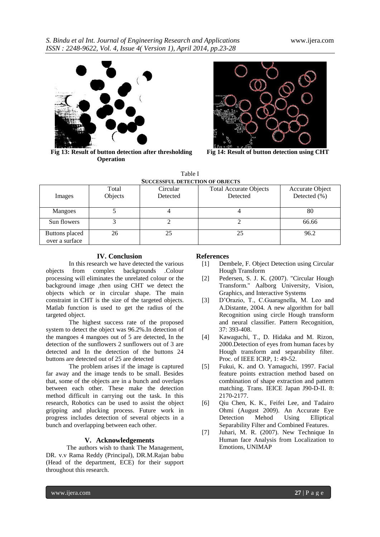

**Fig 13: Result of button detection after thresholding Fig 14: Result of button detection using CHT Operation** 



| <b>SUCCESSFUL DETECTION OF OBJECTS</b> |                  |                      |                                           |                                 |
|----------------------------------------|------------------|----------------------|-------------------------------------------|---------------------------------|
| Images                                 | Total<br>Objects | Circular<br>Detected | <b>Total Accurate Objects</b><br>Detected | Accurate Object<br>Detected (%) |
| Mangoes                                |                  |                      |                                           | 80                              |
| Sun flowers                            |                  |                      |                                           | 66.66                           |
| Buttons placed<br>over a surface       | 26               | 25                   | 25                                        | 96.2                            |

Table I

## **IV. Conclusion**

In this research we have detected the various objects from complex backgrounds .Colour processing will eliminates the unrelated colour or the background image ,then using CHT we detect the objects which or in circular shape. The main constraint in CHT is the size of the targeted objects. Matlab function is used to get the radius of the targeted object.

The highest success rate of the proposed system to detect the object was 96.2%.In detection of the mangoes 4 mangoes out of 5 are detected, In the detection of the sunflowers 2 sunflowers out of 3 are detected and In the detection of the buttons 24 buttons are detected out of 25 are detected

The problem arises if the image is captured far away and the image tends to be small. Besides that, some of the objects are in a bunch and overlaps between each other. These make the detection method difficult in carrying out the task. In this research, Robotics can be used to assist the object gripping and plucking process. Future work in progress includes detection of several objects in a bunch and overlapping between each other.

## **V. Acknowledgements**

The authors wish to thank The Management, DR. v.v Rama Reddy (Principal), DR.M.Rajan babu (Head of the department, ECE) for their support throughout this research.

## **References**

- [1] Dembele, F. Object Detection using Circular Hough Transform
- [2] Pedersen, S. J. K. (2007). "Circular Hough Transform." Aalborg University, Vision, Graphics, and Interactive Systems
- [3] D'Orazio, T., C.Guaragnella, M. Leo and A.Distante, 2004. A new algorithm for ball Recognition using circle Hough transform and neural classifier. Pattern Recognition, 37: 393-408.
- [4] Kawaguchi, T., D. Hidaka and M. Rizon, 2000.Detection of eyes from human faces by Hough transform and separability filter. Proc. of IEEE ICRP, 1: 49-52.
- [5] Fukui, K. and O. Yamaguchi, 1997. Facial feature points extraction method based on combination of shape extraction and pattern matching. Trans. IEICE Japan J90-D-II. 8: 2170-2177.
- [6] Oiu Chen, K. K., Feifei Lee, and Tadairo Ohmi (August 2009). An Accurate Eye Detection Mehod Using Elliptical Separability Filter and Combined Features.
- [7] Juhari, M. R. (2007). New Technique In Human face Analysis from Localization to Emotions, UNIMAP